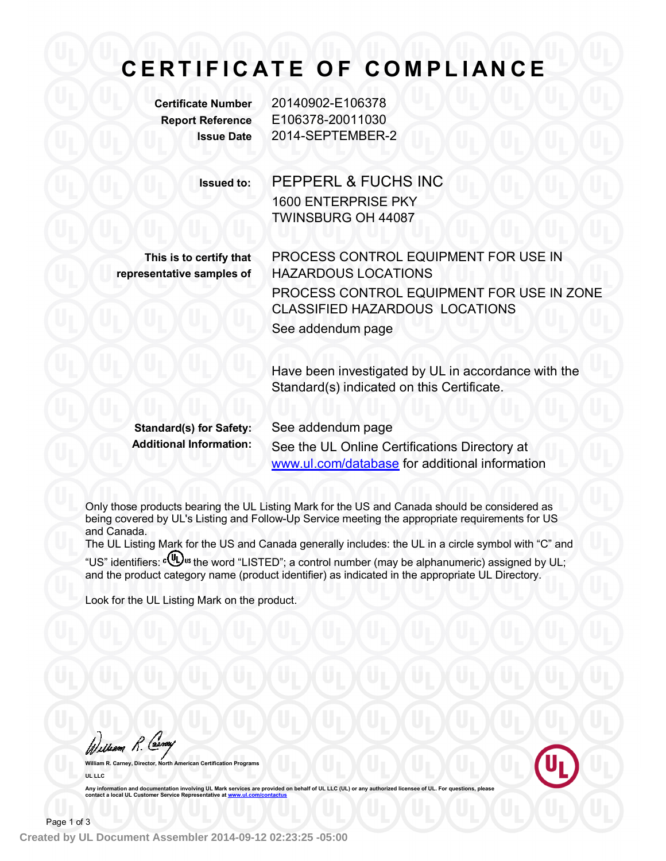## **C E R T I F I C A T E O F C O M PL I A N C E**

**Certificate Number** 20140902-E106378 **Report Reference** E106378-20011030 **Issue Date** 2014-SEPTEMBER-2

**Issued to:** PEPPERL & FUCHS INC

1600 ENTERPRISE PKY TWINSBURG OH 44087

**This is to certify that representative samples of**

PROCESS CONTROL EQUIPMENT FOR USE IN HAZARDOUS LOCATIONS PROCESS CONTROL EQUIPMENT FOR USE IN ZONE CLASSIFIED HAZARDOUS LOCATIONS See addendum page

Have been investigated by UL in accordance with the Standard(s) indicated on this Certificate.

**Standard(s) for Safety:** See addendum page

**Additional Information:** See the UL Online Certifications Directory at www.ul.com/database for additional information

Only those products bearing the UL Listing Mark for the US and Canada should be considered as being covered by UL's Listing and Follow-Up Service meeting the appropriate requirements for US and Canada.

The UL Listing Mark for the US and Canada generally includes: the UL in a circle symbol with "C" and "US" identifiers: c(U) us the word "LISTED"; a control number (may be alphanumeric) assigned by UL; and the product category name (product identifier) as indicated in the appropriate UL Directory.

Look for the UL Listing Mark on the product.

William R. Carna

**William R. Carney, Director, North American Certification Programs UL LLC**

Any information and documentation involving UL Mark services are provided on behalf of UL LLC (UL) or any authorized licensee of UL. For questions, please<br>contact a local UL Customer Service Representative at www.ul.com/co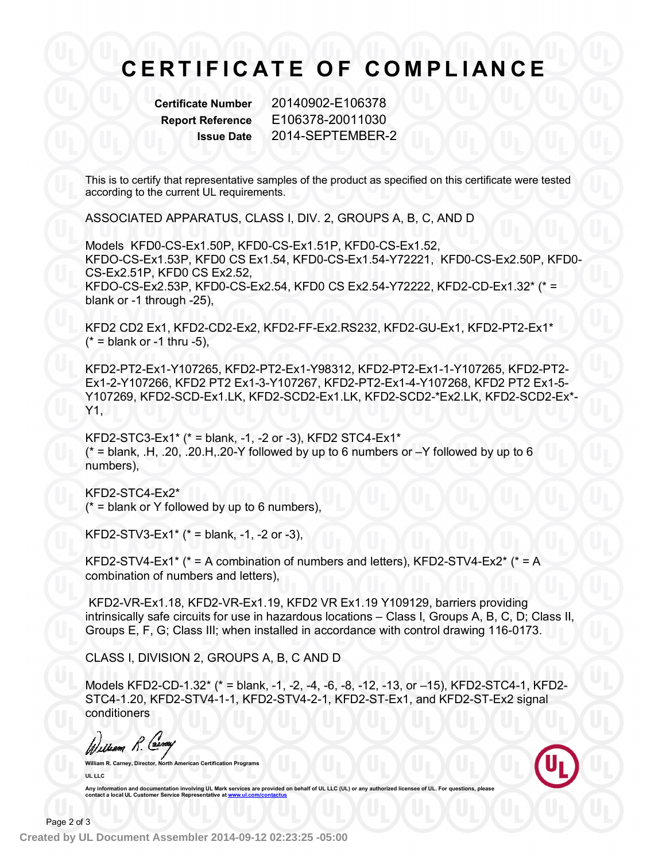## **C E R T I F I C A T E O F C O M PL I A N C E**

**Certificate Number** 20140902-E106378 **Report Reference** E106378-20011030 **Issue Date** 2014-SEPTEMBER-2

This is to certify that representative samples of the product as specified on this certificate were tested according to the current UL requirements.

ASSOCIATED APPARATUS, CLASS I, DIV. 2, GROUPS A, B, C, AND D

Models KFD0-CS-Ex1.50P, KFD0-CS-Ex1.51P, KFD0-CS-Ex1.52, KFDO-CS-Ex1.53P, KFD0 CS Ex1.54, KFD0-CS-Ex1.54-Y72221, KFD0-CS-Ex2.50P, KFD0- CS-Ex2.51P, KFD0 CS Ex2.52, KFDO-CS-Ex2.53P, KFD0-CS-Ex2.54, KFD0 CS Ex2.54-Y72222, KFD2-CD-Ex1.32\* (\* = blank or -1 through -25),

KFD2 CD2 Ex1, KFD2-CD2-Ex2, KFD2-FF-Ex2.RS232, KFD2-GU-Ex1, KFD2-PT2-Ex1\*  $(* =$  blank or -1 thru -5),

KFD2-PT2-Ex1-Y107265, KFD2-PT2-Ex1-Y98312, KFD2-PT2-Ex1-1-Y107265, KFD2-PT2- Ex1-2-Y107266, KFD2 PT2 Ex1-3-Y107267, KFD2-PT2-Ex1-4-Y107268, KFD2 PT2 Ex1-5- Y107269, KFD2-SCD-Ex1.LK, KFD2-SCD2-Ex1.LK, KFD2-SCD2-\*Ex2.LK, KFD2-SCD2-Ex\*- Y1,

KFD2-STC3-Ex1\* (\* = blank, -1, -2 or -3), KFD2 STC4-Ex1\*  $*$  = blank,  $H$ , .20, .20.H, .20-Y followed by up to 6 numbers or  $-Y$  followed by up to 6 numbers),

KFD2-STC4-Ex2\*  $(* =$  blank or Y followed by up to 6 numbers),

KFD2-STV3-Ex1<sup>\*</sup> ( $*$  = blank, -1, -2 or -3),

KFD2-STV4-Ex1\* (\* = A combination of numbers and letters), KFD2-STV4-Ex2\* (\* = A combination of numbers and letters),

KFD2-VR-Ex1.18, KFD2-VR-Ex1.19, KFD2 VR Ex1.19 Y109129, barriers providing intrinsically safe circuits for use in hazardous locations – Class I, Groups A, B, C, D; Class II, Groups E, F, G; Class III; when installed in accordance with control drawing 116-0173.

CLASS I, DIVISION 2, GROUPS A, B, C AND D

Models KFD2-CD-1.32\* (\* = blank, -1, -2, -4, -6, -8, -12, -13, or –15), KFD2-STC4-1, KFD2- STC4-1.20, KFD2-STV4-1-1, KFD2-STV4-2-1, KFD2-ST-Ex1, and KFD2-ST-Ex2 signal conditioners

William R. Carney

**Certification Programs UL LLC**

Any information and documentation involving UL Mark services are provided on behalf of UL LLC (UL) or any authorized licensee of UL. For questions, please<br>contact a local UL Customer Service Representative at <u>www.ul.com/c</u>